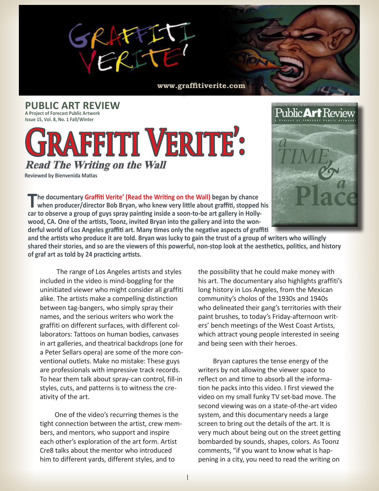

**www.graffitiverite.com**

**PUBLIC ART REVIEW A Project of Forecast Public Artwork Issue 15, Vol. 8, No. 1 Fall/Winter**

## **Graffiti Verite': Read The Writing on the Wall**

 **Reviewed by Bienvenida Matias**



**The documentary Graffiti Verite' (Read the Writing on the Wall) began by chance when producer/director Bob Bryan, who knew very little about graffiti, stopped his car to observe a group of guys spray painting inside a soon-to-be art gallery in Hollywood, CA. One of the artists, Toonz, invited Bryan into the gallery and into the wonderful world of Los Angeles graffiti art. Many times only the negative aspects of graffiti** 

**and the artists who produce it are told. Bryan was lucky to gain the trust of a group of writers who willingly shared their stories, and so are the viewers of this powerful, non-stop look at the aesthetics, politics, and history of graf art as told by 24 practicing artists.**

The range of Los Angeles artists and styles included in the video is mind-boggling for the uninitiated viewer who might consider all graffiti alike. The artists make a compelling distinction between tag-bangers, who simply spray their names, and the serious writers who work the graffiti on different surfaces, with different collaborators: Tattoos on human bodies, canvases in art galleries, and theatrical backdrops (one for a Peter Sellars opera) are some of the more conventional outlets. Make no mistake: These guys are professionals with impressive track records. To hear them talk about spray-can control, fill-in styles, cuts, and patterns is to witness the creativity of the art.

 One of the video's recurring themes is the tight connection between the artist, crew members, and mentors, who support and inspire each other's exploration of the art form. Artist Cre8 talks about the mentor who introduced him to different yards, different styles, and to

the possibility that he could make money with his art. The documentary also highlights graffiti's long history in Los Angeles, from the Mexican community's cholos of the 1930s and 1940s who delineated their gang's territories with their paint brushes, to today's Friday-afternoon writers' bench meetings of the West Coast Artists, which attract young people interested in seeing and being seen with their heroes.

 Bryan captures the tense energy of the writers by not allowing the viewer space to reflect on and time to absorb all the information he packs into this video. I first viewed the video on my small funky TV set-bad move. The second viewing was on a state-of-the-art video system, and this documentary needs a large screen to bring out the details of the art. It is very much about being out on the street getting bombarded by sounds, shapes, colors. As Toonz comments, "if you want to know what is happening in a city, you need to read the writing on